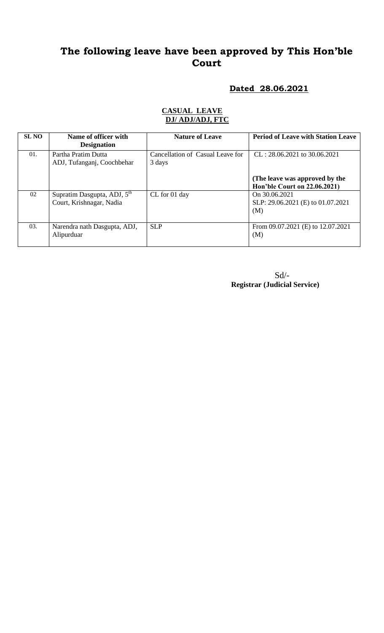# **The following leave have been approved by This Hon'ble Court**

#### **Dated 28.06.2021**

| <b>SL NO</b> | Name of officer with<br><b>Designation</b>                          | <b>Nature of Leave</b>                     | <b>Period of Leave with Station Leave</b>                      |
|--------------|---------------------------------------------------------------------|--------------------------------------------|----------------------------------------------------------------|
| 01.          | Partha Pratim Dutta<br>ADJ, Tufanganj, Coochbehar                   | Cancellation of Casual Leave for<br>3 days | $CL: 28.06.2021$ to 30.06.2021                                 |
|              |                                                                     |                                            | (The leave was approved by the<br>Hon'ble Court on 22.06.2021) |
| 02           | Supratim Dasgupta, ADJ, 5 <sup>th</sup><br>Court, Krishnagar, Nadia | CL for 01 day                              | On 30.06.2021<br>SLP: 29.06.2021 (E) to 01.07.2021<br>(M)      |
| 03.          | Narendra nath Dasgupta, ADJ,<br>Alipurduar                          | <b>SLP</b>                                 | From 09.07.2021 (E) to 12.07.2021<br>(M)                       |

#### **CASUAL LEAVE DJ/ ADJ/ADJ, FTC**

Sd/- **Registrar (Judicial Service)**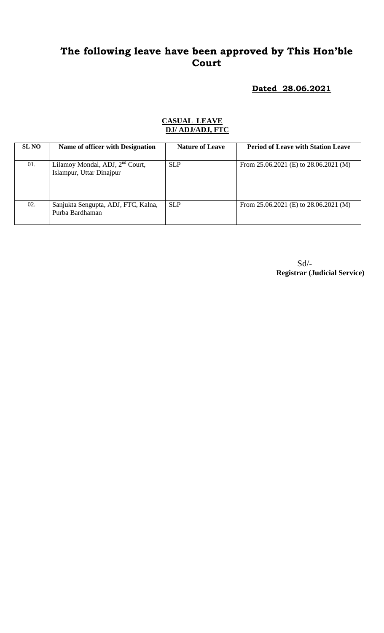## **The following leave have been approved by This Hon'ble Court**

**Dated 28.06.2021**

#### **CASUAL LEAVE DJ/ ADJ/ADJ, FTC**

| <b>SL NO</b> | Name of officer with Designation                                        | <b>Nature of Leave</b> | <b>Period of Leave with Station Leave</b> |
|--------------|-------------------------------------------------------------------------|------------------------|-------------------------------------------|
| 01.          | Lilamoy Mondal, ADJ, 2 <sup>nd</sup> Court,<br>Islampur, Uttar Dinajpur | <b>SLP</b>             | From $25.06.2021$ (E) to $28.06.2021$ (M) |
| 02.          | Sanjukta Sengupta, ADJ, FTC, Kalna,<br>Purba Bardhaman                  | <b>SLP</b>             | From $25.06.2021$ (E) to $28.06.2021$ (M) |

Sd/- **Registrar (Judicial Service)**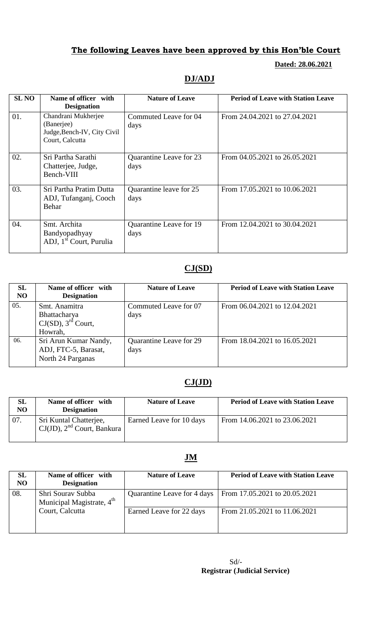## **The following Leaves have been approved by this Hon'ble Court**

**Dated: 28.06.2021**

## **DJ/ADJ**

| <b>SL NO</b> | Name of officer with<br><b>Designation</b>                                          | <b>Nature of Leave</b>          | <b>Period of Leave with Station Leave</b> |
|--------------|-------------------------------------------------------------------------------------|---------------------------------|-------------------------------------------|
| 01.          | Chandrani Mukherjee<br>(Banerjee)<br>Judge, Bench-IV, City Civil<br>Court, Calcutta | Commuted Leave for 04<br>days   | From 24.04.2021 to 27.04.2021             |
| 02.          | Sri Partha Sarathi<br>Chatterjee, Judge,<br>Bench-VIII                              | Quarantine Leave for 23<br>days | From 04.05.2021 to 26.05.2021             |
| 03.          | Sri Partha Pratim Dutta<br>ADJ, Tufanganj, Cooch<br>Behar                           | Quarantine leave for 25<br>days | From 17.05.2021 to 10.06.2021             |
| 04.          | Smt. Archita<br>Bandyopadhyay<br>ADJ, 1 <sup>st</sup> Court, Purulia                | Quarantine Leave for 19<br>days | From 12.04.2021 to 30.04.2021             |

### **CJ(SD)**

| SL<br>N <sub>O</sub> | Name of officer with<br><b>Designation</b>                                 | <b>Nature of Leave</b>          | <b>Period of Leave with Station Leave</b> |
|----------------------|----------------------------------------------------------------------------|---------------------------------|-------------------------------------------|
| 05.                  | Smt. Anamitra<br>Bhattacharya<br>CI(SD), 3 <sup>rd</sup> Court,<br>Howrah, | Commuted Leave for 07<br>days   | From 06.04.2021 to 12.04.2021             |
| 06.                  | Sri Arun Kumar Nandy,<br>ADJ, FTC-5, Barasat,<br>North 24 Parganas         | Quarantine Leave for 29<br>days | From 18.04.2021 to 16.05.2021             |

#### **CJ(JD)**

| <b>SL</b><br>NO | Name of officer with<br><b>Designation</b>                                       | <b>Nature of Leave</b>   | <b>Period of Leave with Station Leave</b> |
|-----------------|----------------------------------------------------------------------------------|--------------------------|-------------------------------------------|
| 07.             | Sri Kuntal Chatterjee,<br>$\vert$ CJ(JD), 2 <sup>nd</sup> Court, Bankura $\vert$ | Earned Leave for 10 days | From 14.06.2021 to 23.06.2021             |

## **JM**

| <b>SL</b><br>N <sub>O</sub> | Name of officer with<br><b>Designation</b>                 | <b>Nature of Leave</b>      | <b>Period of Leave with Station Leave</b> |
|-----------------------------|------------------------------------------------------------|-----------------------------|-------------------------------------------|
| 08.                         | Shri Sourav Subba<br>Municipal Magistrate, 4 <sup>th</sup> | Quarantine Leave for 4 days | From 17.05.2021 to 20.05.2021             |
|                             | Court, Calcutta                                            | Earned Leave for 22 days    | From 21.05.2021 to 11.06.2021             |